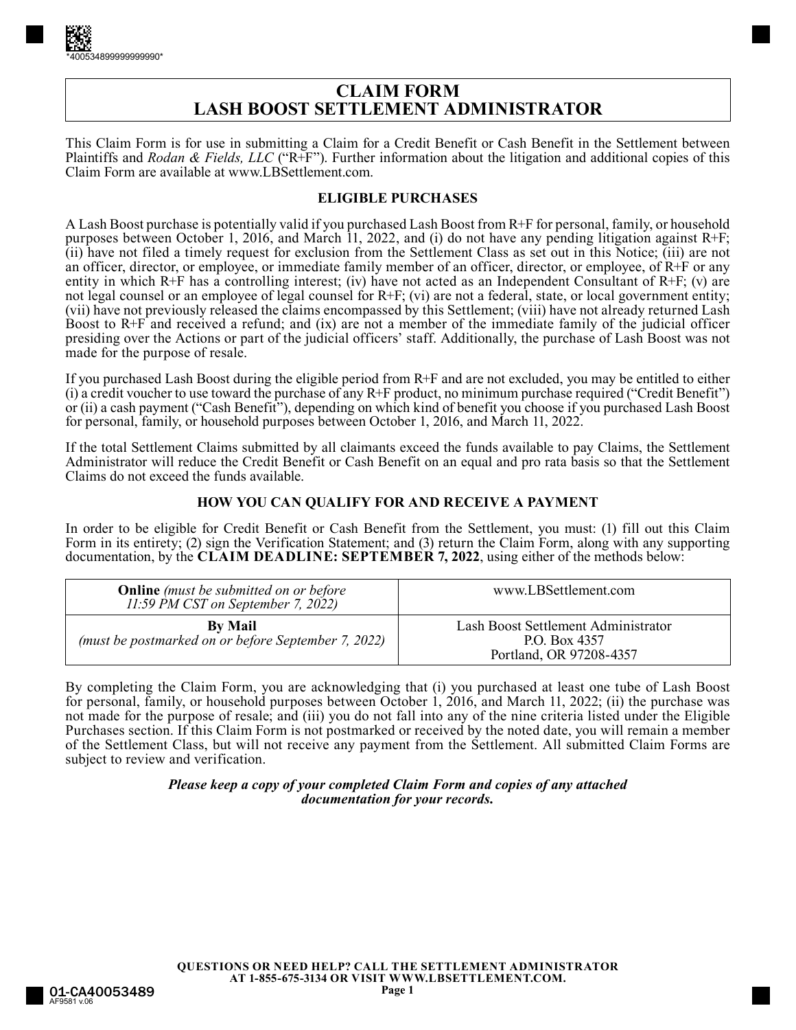# **CLAIM FORM LASH BOOST SETTLEMENT ADMINISTRATOR**

This Claim Form is for use in submitting a Claim for a Credit Benefit or Cash Benefit in the Settlement between Plaintiffs and *Rodan & Fields, LLC* ("R+F"). Further information about the litigation and additional copies of this Claim Form are available at www.LBSettlement.com.

### **ELIGIBLE PURCHASES**

A Lash Boost purchase is potentially valid if you purchased Lash Boost from R+F for personal, family, or household purposes between October 1, 2016, and March 11, 2022, and (i) do not have any pending litigation against R+F; (ii) have not filed a timely request for exclusion from the Settlement Class as set out in this Notice; (iii) are not an officer, director, or employee, or immediate family member of an officer, director, or employee, of  $R+F$  or any entity in which R+F has a controlling interest; (iv) have not acted as an Independent Consultant of R+F; (v) are not legal counsel or an employee of legal counsel for R+F; (vi) are not a federal, state, or local government entity; (vii) have not previously released the claims encompassed by this Settlement; (viii) have not already returned Lash Boost to R+F and received a refund; and (ix) are not a member of the immediate family of the judicial officer presiding over the Actions or part of the judicial officers' staff. Additionally, the purchase of Lash Boost was not made for the purpose of resale.

If you purchased Lash Boost during the eligible period from R+F and are not excluded, you may be entitled to either (i) a credit voucher to use toward the purchase of any R+F product, no minimum purchase required ("Credit Benefit") or (ii) a cash payment ("Cash Benefit"), depending on which kind of benefit you choose if you purchased Lash Boost for personal, family, or household purposes between October 1, 2016, and March 11, 2022.

If the total Settlement Claims submitted by all claimants exceed the funds available to pay Claims, the Settlement Administrator will reduce the Credit Benefit or Cash Benefit on an equal and pro rata basis so that the Settlement Claims do not exceed the funds available.

### **HOW YOU CAN QUALIFY FOR AND RECEIVE A PAYMENT**

In order to be eligible for Credit Benefit or Cash Benefit from the Settlement, you must: (1) fill out this Claim Form in its entirety; (2) sign the Verification Statement; and (3) return the Claim Form, along with any supporting documentation, by the **CLAIM DEADLINE: SEPTEMBER 7, 2022**, using either of the methods below:

| <b>Online</b> (must be submitted on or before<br>11:59 PM CST on September 7, 2022) | www.LBSettlement.com                                                            |
|-------------------------------------------------------------------------------------|---------------------------------------------------------------------------------|
| <b>By Mail</b><br>(must be postmarked on or before September 7, 2022)               | Lash Boost Settlement Administrator<br>P.O. Box 4357<br>Portland, OR 97208-4357 |

By completing the Claim Form, you are acknowledging that (i) you purchased at least one tube of Lash Boost for personal, family, or household purposes between October 1, 2016, and March 11, 2022; (ii) the purchase was not made for the purpose of resale; and (iii) you do not fall into any of the nine criteria listed under the Eligible Purchases section. If this Claim Form is not postmarked or received by the noted date, you will remain a member of the Settlement Class, but will not receive any payment from the Settlement. All submitted Claim Forms are subject to review and verification.

#### *Please keep a copy of your completed Claim Form and copies of any attached documentation for your records.*